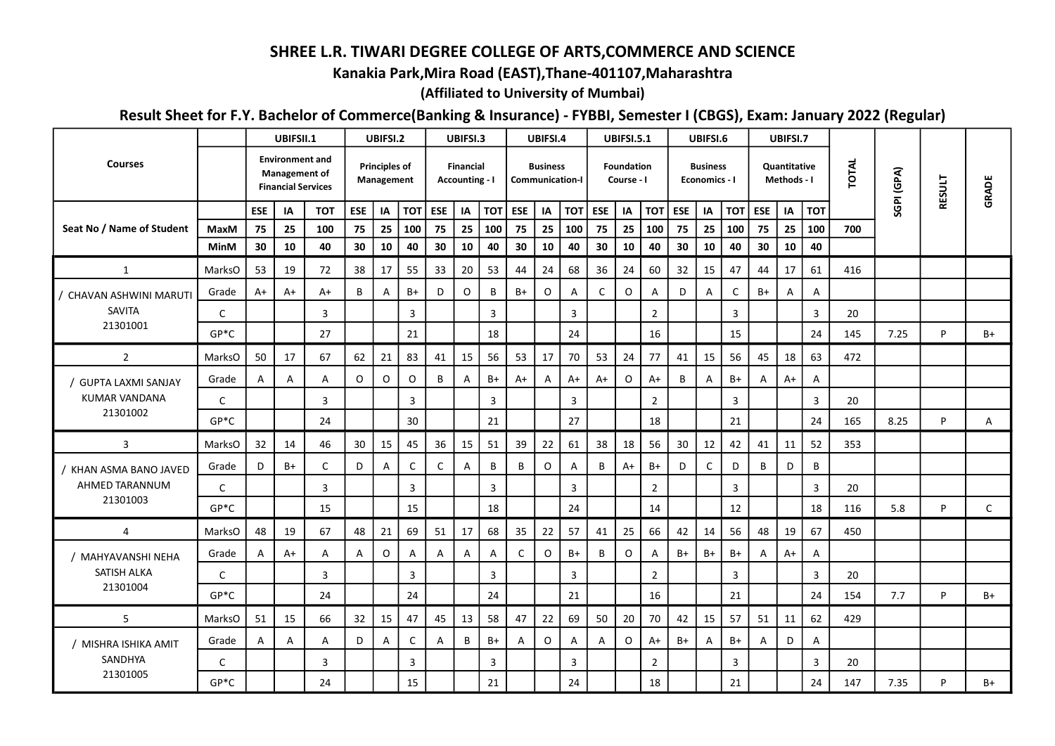## SHREE L.R. TIWARI DEGREE COLLEGE OF ARTS,COMMERCE AND SCIENCE

## Kanakia Park,Mira Road (EAST),Thane-401107,Maharashtra

## (Affiliated to University of Mumbai)

## Result Sheet for F.Y. Bachelor of Commerce(Banking & Insurance) - FYBBI, Semester I (CBGS), Exam: January 2022 (Regular)

|                                                   |              |            | UBIFSII.1                                                                   |                | UBIFSI.2   |                                    |                | UBIFSI.3                                  |    |      |             | UBIFSI.4        |                        | <b>UBIFSI.5.1</b> |                          |                |                  | UBIFSI.6                         |                |              | UBIFSI.7                    |                |       |      |                                                                                                  |      |  |
|---------------------------------------------------|--------------|------------|-----------------------------------------------------------------------------|----------------|------------|------------------------------------|----------------|-------------------------------------------|----|------|-------------|-----------------|------------------------|-------------------|--------------------------|----------------|------------------|----------------------------------|----------------|--------------|-----------------------------|----------------|-------|------|--------------------------------------------------------------------------------------------------|------|--|
| <b>Courses</b>                                    |              |            | <b>Environment and</b><br><b>Management of</b><br><b>Financial Services</b> |                |            | <b>Principles of</b><br>Management |                | <b>Financial</b><br><b>Accounting - I</b> |    |      |             | <b>Business</b> | <b>Communication-I</b> |                   | Foundation<br>Course - I |                |                  | <b>Business</b><br>Economics - I |                |              | Quantitative<br>Methods - I |                | TOTAL |      | SGPI (GPA)<br><b>RESULT</b><br>GRADE<br>P<br>$B+$<br>P<br>A<br>5.8<br>P<br>C<br>P<br>$B+$<br>7.7 |      |  |
|                                                   |              | <b>ESE</b> | ΙA                                                                          | <b>TOT</b>     | <b>ESE</b> | IA                                 | TOT            | ESE                                       | IA |      | TOT   ESE   | IA              | <b>TOT</b>             | <b>ESE</b>        | IA                       |                | <b>TOT</b>   ESE | IA                               | тот            | ESE          | IA                          | <b>TOT</b>     |       |      |                                                                                                  |      |  |
| Seat No / Name of Student                         | MaxM         | 75         | 25                                                                          | 100            | 75         | 25                                 | 100            | 75                                        | 25 | 100  | 75          | 25              | 100                    | 75                | 25                       | 100            | 75               | 25                               | 100            | 75           | 25                          | 100            | 700   |      |                                                                                                  |      |  |
|                                                   | <b>MinM</b>  | 30         | 10                                                                          | 40             | 30         | 10                                 | 40             | 30                                        | 10 | 40   | 30          | 10              | 40                     | 30                | 10                       | 40             | 30               | 10                               | 40             | 30           | 10                          | 40             |       |      |                                                                                                  |      |  |
| $\mathbf{1}$                                      | MarksO       | 53         | 19                                                                          | 72             | 38         | 17                                 | 55             | 33                                        | 20 | 53   | 44          | 24              | 68                     | 36                | 24                       | 60             | 32               | 15                               | 47             | 44           | 17                          | 61             | 416   |      |                                                                                                  |      |  |
| / CHAVAN ASHWINI MARUTI                           | Grade        | A+         | A+                                                                          | A+             | B          | $\mathsf{A}$                       | B+             | D                                         | 0  | B    | $B+$        | $\mathsf O$     | A                      | $\mathsf{C}$      | $\mathsf O$              | Α              | D                | Α                                | $\mathsf{C}$   | $B+$         | $\mathsf{A}$                | $\overline{A}$ |       |      |                                                                                                  |      |  |
| SAVITA                                            | $\mathsf{C}$ |            |                                                                             | $\overline{3}$ |            |                                    | $\overline{3}$ |                                           |    | 3    |             |                 | $\overline{3}$         |                   |                          | $\overline{2}$ |                  |                                  | $\overline{3}$ |              |                             | $\overline{3}$ | 20    |      |                                                                                                  |      |  |
| 21301001                                          | $GP*C$       |            |                                                                             | 27             |            |                                    | 21             |                                           |    | 18   |             |                 | 24                     |                   |                          | 16             |                  |                                  | 15             |              |                             | 24             | 145   | 7.25 |                                                                                                  |      |  |
| $\overline{2}$                                    | MarksO       | 50         | 17                                                                          | 67             | 62         | 21                                 | 83             | 41                                        | 15 | 56   | 53          | 17              | 70                     | 53                | 24                       | 77             | 41               | 15                               | 56             | 45           | 18                          | 63             | 472   |      |                                                                                                  |      |  |
| <b>GUPTA LAXMI SANJAY</b><br><b>KUMAR VANDANA</b> | Grade        | Α          | $\overline{A}$                                                              | Α              | $\circ$    | $\mathsf O$                        | $\circ$        | В                                         | A  | B+   | $A+$        | A               | $A+$                   | A+                | $\mathsf O$              | A+             | B                | $\overline{A}$                   | B+             | A            | $A+$                        | $\overline{A}$ |       |      |                                                                                                  |      |  |
|                                                   | $\mathsf{C}$ |            |                                                                             | 3              |            |                                    | $\overline{3}$ |                                           |    | 3    |             |                 | 3                      |                   |                          | $\overline{2}$ |                  |                                  | 3              |              |                             | $\overline{3}$ | 20    |      |                                                                                                  |      |  |
| 21301002                                          | $GP*C$       |            |                                                                             | 24             |            |                                    | 30             |                                           |    | 21   |             |                 | 27                     |                   |                          | 18             |                  |                                  | 21             |              |                             | 24             | 165   | 8.25 |                                                                                                  |      |  |
| $\overline{3}$                                    | MarksO       | 32         | 14                                                                          | 46             | 30         | 15                                 | 45             | 36                                        | 15 | 51   | 39          | 22              | 61                     | 38                | 18                       | 56             | 30               | 12                               | 42             | 41           | 11                          | 52             | 353   |      |                                                                                                  |      |  |
| KHAN ASMA BANO JAVED                              | Grade        | D          | B+                                                                          | C              | D          | A                                  | C              | C                                         | Α  | B    | B           | $\mathsf O$     | A                      | B                 | $A+$                     | $B+$           | D                | $\mathsf{C}$                     | D              | В            | D                           | B              |       |      |                                                                                                  |      |  |
| AHMED TARANNUM                                    | $\mathsf{C}$ |            |                                                                             | 3              |            |                                    | $\overline{3}$ |                                           |    | 3    |             |                 | $\overline{3}$         |                   |                          | $\overline{2}$ |                  |                                  | $\mathbf{3}$   |              |                             | $\overline{3}$ | 20    |      |                                                                                                  |      |  |
| 21301003                                          | $GP*C$       |            |                                                                             | 15             |            |                                    | 15             |                                           |    | 18   |             |                 | 24                     |                   |                          | 14             |                  |                                  | 12             |              |                             | 18             | 116   |      |                                                                                                  |      |  |
| 4                                                 | MarksO       | 48         | 19                                                                          | 67             | 48         | 21                                 | 69             | 51                                        | 17 | 68   | 35          | 22              | 57                     | 41                | 25                       | 66             | 42               | 14                               | 56             | 48           | 19                          | 67             | 450   |      |                                                                                                  |      |  |
| / MAHYAVANSHI NEHA                                | Grade        | Α          | A+                                                                          | A              | A          | $\mathsf{O}$                       | A              | Α                                         | A  | Α    | $\mathsf C$ | $\mathsf O$     | $B+$                   | B                 | $\mathsf O$              | Α              | $B+$             | B+                               | B+             | A            | $A+$                        | $\mathsf{A}$   |       |      |                                                                                                  |      |  |
| SATISH ALKA                                       | $\mathsf{C}$ |            |                                                                             | 3              |            |                                    | $\overline{3}$ |                                           |    | 3    |             |                 | $\overline{3}$         |                   |                          | $\overline{2}$ |                  |                                  | 3              |              |                             | $\overline{3}$ | 20    |      |                                                                                                  |      |  |
| 21301004                                          | $GP*C$       |            |                                                                             | 24             |            |                                    | 24             |                                           |    | 24   |             |                 | 21                     |                   |                          | 16             |                  |                                  | 21             |              |                             | 24             | 154   |      |                                                                                                  |      |  |
| 5 <sup>1</sup>                                    | MarksO       | 51         | 15                                                                          | 66             | 32         | 15                                 | 47             | 45                                        | 13 | 58   | 47          | 22              | 69                     | 50                | 20                       | 70             | 42               | 15                               | 57             | 51           | 11                          | 62             | 429   |      |                                                                                                  |      |  |
| / MISHRA ISHIKA AMIT<br>SANDHYA<br>21301005       | Grade        | Α          | $\mathsf{A}$                                                                | A              | D          | A                                  | C              | A                                         | B  | $B+$ | A           | 0               | A                      | A                 | $\mathsf O$              | A+             | $B+$             | $\mathsf{A}$                     | $B+$           | $\mathsf{A}$ | D                           | $\overline{A}$ |       |      |                                                                                                  |      |  |
|                                                   | C            |            |                                                                             | 3              |            |                                    | 3              |                                           |    | 3    |             |                 | 3                      |                   |                          | $\overline{2}$ |                  |                                  | 3              |              |                             | $\overline{3}$ | 20    |      |                                                                                                  |      |  |
|                                                   | $GP*C$       |            |                                                                             | 24             |            |                                    | 15             |                                           |    | 21   |             |                 | 24                     |                   |                          | 18             |                  |                                  | 21             |              |                             | 24             | 147   | 7.35 | P                                                                                                | $B+$ |  |
|                                                   |              |            |                                                                             |                |            |                                    |                |                                           |    |      |             |                 |                        |                   |                          |                |                  |                                  |                |              |                             |                |       |      |                                                                                                  |      |  |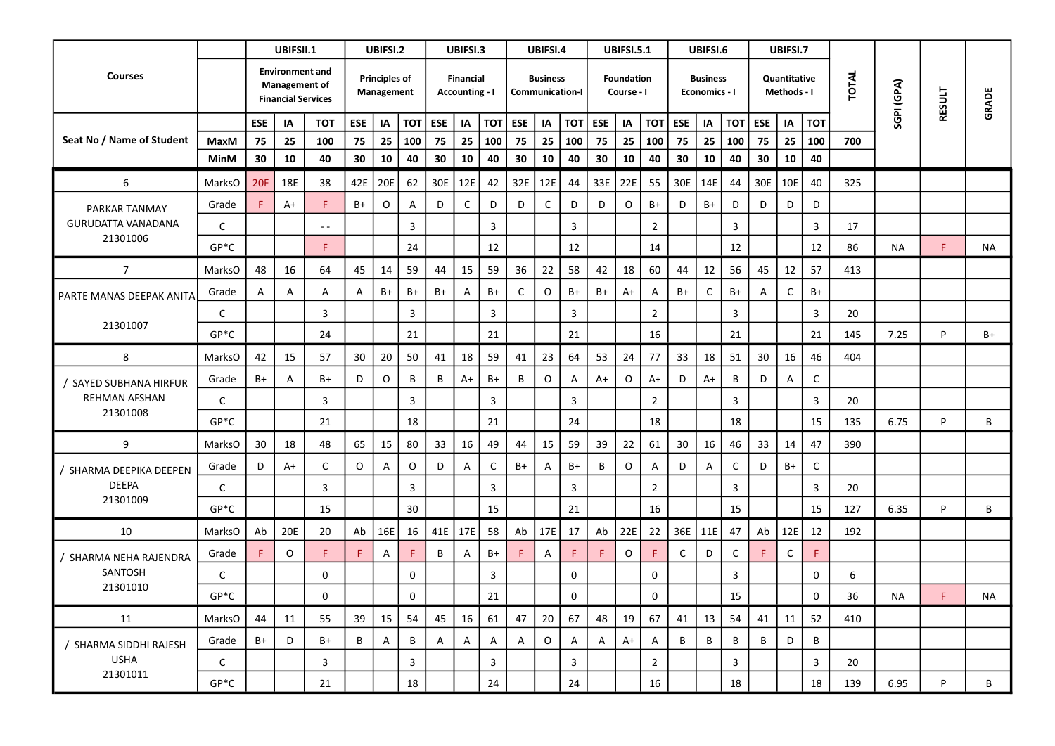|                           |              |            | UBIFSII.1                                                                   |                         |              | UBIFSI.2                           |                | UBIFSI.3 |                                           |              |      | UBIFSI.4        |                        |      | <b>UBIFSI.5.1</b>               |                |             | UBIFSI.6                         |                |                             | UBIFSI.7     |                |              |            |               |       |  |
|---------------------------|--------------|------------|-----------------------------------------------------------------------------|-------------------------|--------------|------------------------------------|----------------|----------|-------------------------------------------|--------------|------|-----------------|------------------------|------|---------------------------------|----------------|-------------|----------------------------------|----------------|-----------------------------|--------------|----------------|--------------|------------|---------------|-------|--|
| <b>Courses</b>            |              |            | <b>Environment and</b><br><b>Management of</b><br><b>Financial Services</b> |                         |              | <b>Principles of</b><br>Management |                |          | <b>Financial</b><br><b>Accounting - I</b> |              |      | <b>Business</b> | <b>Communication-I</b> |      | <b>Foundation</b><br>Course - I |                |             | <b>Business</b><br>Economics - I |                | Quantitative<br>Methods - I |              |                | <b>TOTAL</b> | SGPI (GPA) | <b>RESULT</b> | GRADE |  |
|                           |              | <b>ESE</b> | IA                                                                          | <b>TOT</b>              | <b>ESE</b>   | IA                                 | тот            | ESE      | IA                                        | TOT   ESE    |      | IA              | <b>TOT</b>             | ESE  | IA                              | <b>TOT</b>     | ESE         | IA                               | тот            | ESE                         | IA           | <b>TOT</b>     |              |            |               |       |  |
| Seat No / Name of Student | MaxM         | 75         | 25                                                                          | 100                     | 75           | 25                                 | 100            | 75       | 25                                        | 100          | 75   | 25              | 100                    | 75   | 25                              | 100            | 75          | 25                               | 100            | 75                          | 25           | 100            | 700          |            |               |       |  |
|                           | MinM         | 30         | 10                                                                          | 40                      | 30           | 10                                 | 40             | 30       | 10                                        | 40           | 30   | 10              | 40                     | 30   | 10                              | 40             | 30          | 10                               | 40             | 30                          | 10           | 40             |              |            |               |       |  |
| 6                         | MarksO       | <b>20F</b> | 18E                                                                         | 38                      | 42E          | 20E                                | 62             | 30E      | 12E                                       | 42           | 32E  | 12E             | 44                     | 33E  | 22E                             | 55             | 30E         | 14E                              | 44             | 30E                         | 10E          | 40             | 325          |            |               |       |  |
| PARKAR TANMAY             | Grade        | F          | A+                                                                          |                         | B+           | $\mathsf O$                        | A              | D        | $\mathsf C$                               | D            | D    | $\mathsf C$     | D                      | D    | $\mathsf O$                     | B+             | D           | B+                               | D              | D                           | D            | D              |              |            |               |       |  |
| GURUDATTA VANADANA        | $\mathsf{C}$ |            |                                                                             | $\sim$ $\sim$           |              |                                    | $\mathbf{3}$   |          |                                           | 3            |      |                 | $\mathbf{3}$           |      |                                 | $\overline{2}$ |             |                                  | 3              |                             |              | $\overline{3}$ | 17           |            |               |       |  |
| 21301006                  | $GP*C$       |            |                                                                             | F.                      |              |                                    | 24             |          |                                           | 12           |      |                 | 12                     |      |                                 | 14             |             |                                  | 12             |                             |              | 12             | 86           | NA         | F             | NA    |  |
| $\overline{7}$            | MarksO       | 48         | 16                                                                          | 64                      | 45           | 14                                 | 59             | 44       | 15                                        | 59           | 36   | 22              | 58                     | 42   | 18                              | 60             | 44          | 12                               | 56             | 45                          | 12           | 57             | 413          |            |               |       |  |
| PARTE MANAS DEEPAK ANITA  | Grade        | A          | A                                                                           | A                       | $\mathsf{A}$ | B+                                 | B+             | B+       | $\mathsf{A}$                              | B+           | C    | O               | $B+$                   | $B+$ | A+                              | A              | $B+$        | $\mathsf C$                      | $B+$           | Α                           | $\mathsf C$  | B+             |              |            |               |       |  |
|                           | $\mathsf{C}$ |            |                                                                             | $\overline{\mathbf{3}}$ |              |                                    | $\mathbf{3}$   |          |                                           | 3            |      |                 | $\mathbf{3}$           |      |                                 | $\overline{2}$ |             |                                  | $\overline{3}$ |                             |              | $\overline{3}$ | 20           |            |               |       |  |
| 21301007                  | $GP*C$       |            |                                                                             | 24                      |              |                                    | 21             |          |                                           | 21           |      |                 | 21                     |      |                                 | 16             |             |                                  | 21             |                             |              | 21             | 145          | 7.25       | P             | B+    |  |
| 8                         | MarksO       | 42         | 15                                                                          | 57                      | 30           | 20                                 | 50             | 41       | 18                                        | 59           | 41   | 23              | 64                     | 53   | 24                              | 77             | 33          | 18                               | 51             | 30                          | 16           | 46             | 404          |            |               |       |  |
| / SAYED SUBHANA HIRFUR    | Grade        | $B+$       | A                                                                           | B+                      | D            | $\mathsf O$                        | B              | В        | $A+$                                      | $B+$         | B    | O               | $\overline{A}$         | $A+$ | $\mathsf O$                     | A+             | D           | A+                               | В              | D                           | A            | $\mathsf C$    |              |            |               |       |  |
| <b>REHMAN AFSHAN</b>      | $\mathsf{C}$ |            |                                                                             | $\overline{3}$          |              |                                    | $\overline{3}$ |          |                                           | 3            |      |                 | $\overline{3}$         |      |                                 | $\overline{2}$ |             |                                  | $\mathbf{3}$   |                             |              | $\overline{3}$ | 20           |            |               |       |  |
| 21301008                  | $GP*C$       |            |                                                                             | 21                      |              |                                    | 18             |          |                                           | 21           |      |                 | 24                     |      |                                 | 18             |             |                                  | 18             |                             |              | 15             | 135          | 6.75       | P             | B     |  |
| 9                         | MarksO       | 30         | 18                                                                          | 48                      | 65           | 15                                 | 80             | 33       | 16                                        | 49           | 44   | 15              | 59                     | 39   | 22                              | 61             | 30          | 16                               | 46             | 33                          | 14           | 47             | 390          |            |               |       |  |
| / SHARMA DEEPIKA DEEPEN   | Grade        | D          | A+                                                                          | $\mathsf{C}$            | $\mathsf O$  | $\mathsf{A}$                       | $\mathsf O$    | D        | A                                         | $\mathsf{C}$ | $B+$ | A               | $B+$                   | B    | $\mathsf O$                     | A              | D           | A                                | $\mathsf C$    | D                           | $B+$         | $\mathsf C$    |              |            |               |       |  |
| DEEPA                     | $\mathsf{C}$ |            |                                                                             | $\overline{\mathbf{3}}$ |              |                                    | $\mathbf{3}$   |          |                                           | 3            |      |                 | $\mathbf{3}$           |      |                                 | $\overline{2}$ |             |                                  | 3              |                             |              | $\overline{3}$ | 20           |            |               |       |  |
| 21301009                  | $GP*C$       |            |                                                                             | 15                      |              |                                    | 30             |          |                                           | 15           |      |                 | 21                     |      |                                 | 16             |             |                                  | 15             |                             |              | 15             | 127          | 6.35       | P             | В     |  |
| 10                        | MarksO       | Ab         | 20E                                                                         | 20                      | Ab           | 16E                                | 16             | 41E      | 17E                                       | 58           | Ab   | 17E             | 17                     | Ab   | 22E                             | 22             | 36E         | 11E                              | 47             | Ab                          | 12E          | 12             | 192          |            |               |       |  |
| ' SHARMA NEHA RAJENDRA    | Grade        | F          | $\circ$                                                                     | F.                      | F.           | A                                  | F              | B        | $\mathsf{A}$                              | B+           | F    | A               | F.                     | F.   | $\mathsf O$                     | F              | $\mathsf C$ | D                                | $\mathsf{C}$   | F                           | $\mathsf{C}$ | F.             |              |            |               |       |  |
| SANTOSH                   | $\mathsf{C}$ |            |                                                                             | 0                       |              |                                    | $\mathsf 0$    |          |                                           | 3            |      |                 | $\mathbf 0$            |      |                                 | 0              |             |                                  | 3              |                             |              | $\mathbf 0$    | 6            |            |               |       |  |
| 21301010                  | $GP*C$       |            |                                                                             | $\mathbf 0$             |              |                                    | $\mathbf 0$    |          |                                           | 21           |      |                 | $\mathsf 0$            |      |                                 | $\mathsf 0$    |             |                                  | 15             |                             |              | $\mathsf 0$    | 36           | NA         | F             | NA.   |  |
| 11                        | MarksO       | 44         | 11                                                                          | 55                      | 39           | 15                                 | 54             | 45       | 16                                        | 61           | 47   | 20              | 67                     | 48   | 19                              | 67             | 41          | 13                               | 54             | 41                          | 11           | 52             | 410          |            |               |       |  |
| / SHARMA SIDDHI RAJESH    | Grade        | $B+$       | D                                                                           | B+                      | B            | $\mathsf{A}$                       | B              | A        | $\mathsf{A}$                              | $\mathsf{A}$ | A    | $\mathsf{O}$    | $\overline{A}$         | A    | $A+$                            | A              | B           | B                                | В              | $\overline{B}$              | D            | B              |              |            |               |       |  |
| <b>USHA</b>               | C            |            |                                                                             | $\overline{3}$          |              |                                    | $\overline{3}$ |          |                                           | 3            |      |                 | $\overline{3}$         |      |                                 | $\overline{2}$ |             |                                  | $\mathbf{3}$   |                             |              | $\mathbf{3}$   | 20           |            |               |       |  |
| 21301011                  | $GP*C$       |            |                                                                             | 21                      |              |                                    | 18             |          |                                           | 24           |      |                 | 24                     |      |                                 | 16             |             |                                  | 18             |                             |              | 18             | 139          | 6.95       | P             | B     |  |
|                           |              |            |                                                                             |                         |              |                                    |                |          |                                           |              |      |                 |                        |      |                                 |                |             |                                  |                |                             |              |                |              |            |               |       |  |